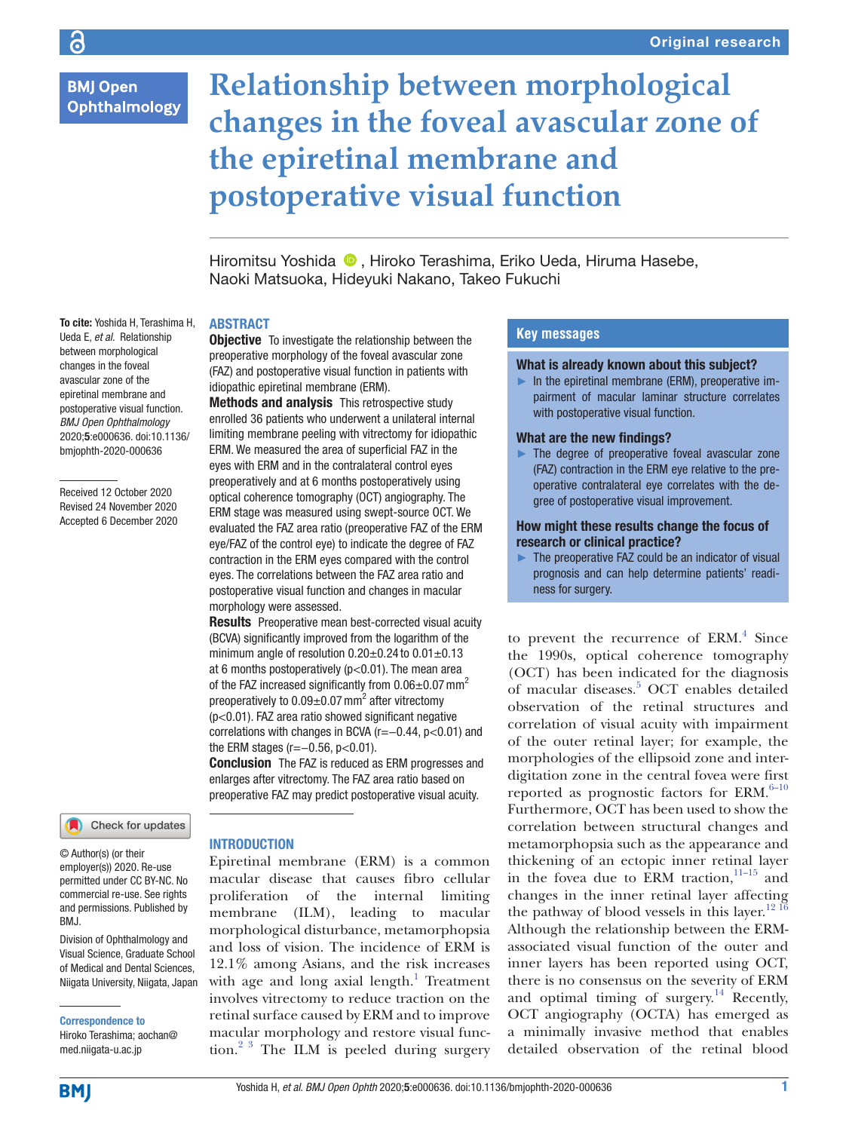# **BMJ Open Ophthalmology**

# **Relationship between morphological changes in the foveal avascular zone of the epiretinal membrane and postoperative visual function**

Hiromitsu Yoshida <sup>®</sup>. Hiroko Terashima, Eriko Ueda, Hiruma Hasebe, Naoki Matsuoka, Hideyuki Nakano, Takeo Fukuchi

## **ABSTRACT**

**Objective** To investigate the relationship between the preoperative morphology of the foveal avascular zone (FAZ) and postoperative visual function in patients with

Methods and analysis This retrospective study enrolled 36 patients who underwent a unilateral internal limiting membrane peeling with vitrectomy for idiopathic ERM. We measured the area of superficial FAZ in the eyes with ERM and in the contralateral control eyes preoperatively and at 6 months postoperatively using optical coherence tomography (OCT) angiography. The ERM stage was measured using swept-source OCT. We evaluated the FAZ area ratio (preoperative FAZ of the ERM eye/FAZ of the control eye) to indicate the degree of FAZ contraction in the ERM eyes compared with the control eyes. The correlations between the FAZ area ratio and postoperative visual function and changes in macular

**Results** Preoperative mean best-corrected visual acuity (BCVA) significantly improved from the logarithm of the minimum angle of resolution  $0.20\pm0.24$  to  $0.01\pm0.13$ at 6 months postoperatively ( $p$ <0.01). The mean area of the FAZ increased significantly from  $0.06\pm0.07$  mm<sup>2</sup> preoperatively to  $0.09\pm0.07$  mm<sup>2</sup> after vitrectomy (p<0.01). FAZ area ratio showed significant negative correlations with changes in BCVA (r=−0.44, p<0.01) and

**Conclusion** The FAZ is reduced as ERM progresses and enlarges after vitrectomy. The FAZ area ratio based on preoperative FAZ may predict postoperative visual acuity.

idiopathic epiretinal membrane (ERM).

morphology were assessed.

the ERM stages (r=−0.56, p<0.01).

To cite: Yoshida H, Terashima H, Ueda E, *et al*. Relationship between morphological changes in the foveal avascular zone of the epiretinal membrane and postoperative visual function. *BMJ Open Ophthalmology* 2020;5:e000636. doi:10.1136/ bmjophth-2020-000636

Received 12 October 2020 Revised 24 November 2020 Accepted 6 December 2020

## Check for updates

© Author(s) (or their employer(s)) 2020. Re-use permitted under CC BY-NC. No commercial re-use. See rights and permissions. Published by BMJ.

Division of Ophthalmology and Visual Science, Graduate School of Medical and Dental Sciences, Niigata University, Niigata, Japan

Correspondence to

Hiroko Terashima; aochan@ med.niigata-u.ac.jp

**INTRODUCTION** 

Epiretinal membrane (ERM) is a common macular disease that causes fibro cellular proliferation of the internal limiting membrane (ILM), leading to macular morphological disturbance, metamorphopsia and loss of vision. The incidence of ERM is 12.1% among Asians, and the risk increases with age and long axial length. $1$  Treatment involves vitrectomy to reduce traction on the retinal surface caused by ERM and to improve macular morphology and restore visual function.<sup>2 3</sup> The ILM is peeled during surgery

## **Key messages**

#### What is already known about this subject?

 $\blacktriangleright$  In the epiretinal membrane (ERM), preoperative impairment of macular laminar structure correlates with postoperative visual function.

#### What are the new findings?

► The degree of preoperative foveal avascular zone (FAZ) contraction in the ERM eye relative to the preoperative contralateral eye correlates with the degree of postoperative visual improvement.

## How might these results change the focus of research or clinical practice?

 $\blacktriangleright$  The preoperative FAZ could be an indicator of visual prognosis and can help determine patients' readiness for surgery.

to prevent the recurrence of ERM.<sup>[4](#page-4-1)</sup> Since the 1990s, optical coherence tomography (OCT) has been indicated for the diagnosis of macular diseases.<sup>5</sup> OCT enables detailed observation of the retinal structures and correlation of visual acuity with impairment of the outer retinal layer; for example, the morphologies of the ellipsoid zone and interdigitation zone in the central fovea were first reported as prognostic factors for ERM. $6-10$ Furthermore, OCT has been used to show the correlation between structural changes and metamorphopsia such as the appearance and thickening of an ectopic inner retinal layer in the fovea due to  $\text{ERM}\xspace$  traction,  $^{11-15}$  and changes in the inner retinal layer affecting the pathway of blood vessels in this layer.<sup>[12 16](#page-5-0)</sup> Although the relationship between the ERMassociated visual function of the outer and inner layers has been reported using OCT, there is no consensus on the severity of ERM and optimal timing of surgery.<sup>[14](#page-5-1)</sup> Recently, OCT angiography (OCTA) has emerged as a minimally invasive method that enables detailed observation of the retinal blood

**BMJ**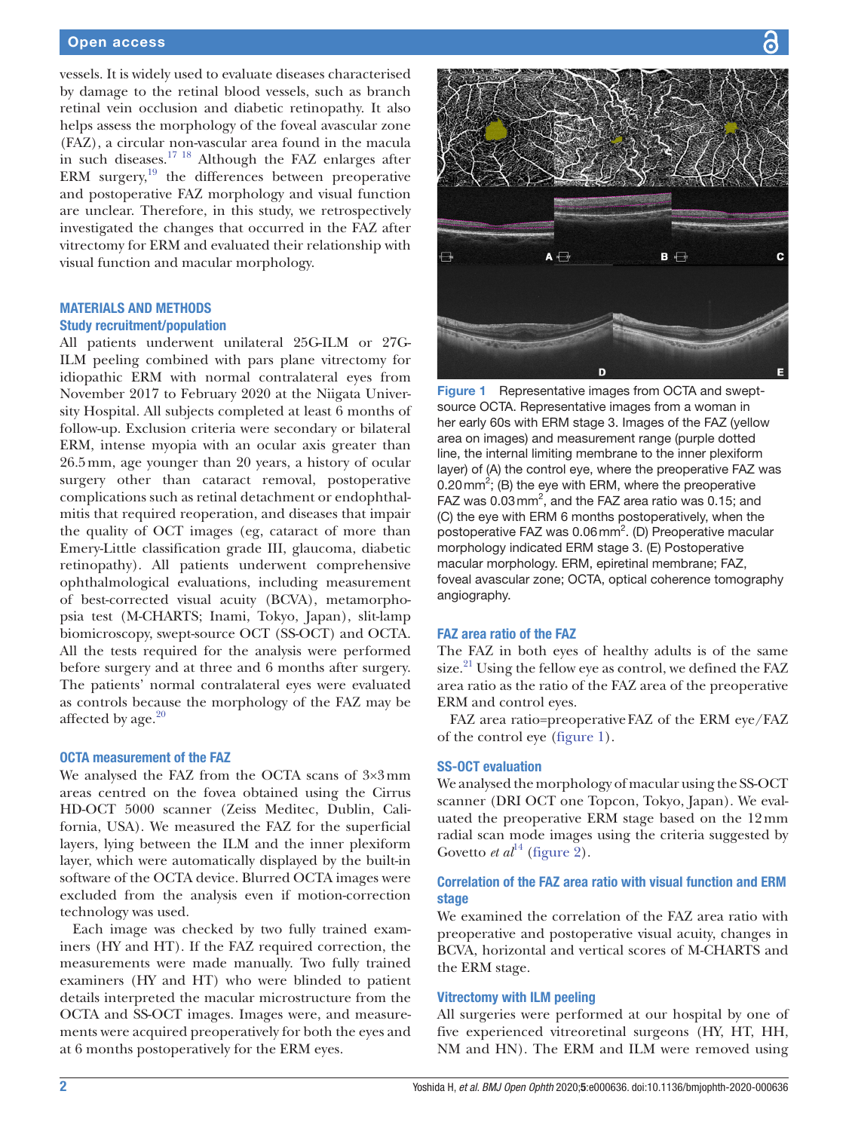## Open access

vessels. It is widely used to evaluate diseases characterised by damage to the retinal blood vessels, such as branch retinal vein occlusion and diabetic retinopathy. It also helps assess the morphology of the foveal avascular zone (FAZ), a circular non-vascular area found in the macula in such diseases.<sup>17</sup><sup>18</sup> Although the FAZ enlarges after ERM surgery, $19$  the differences between preoperative and postoperative FAZ morphology and visual function are unclear. Therefore, in this study, we retrospectively investigated the changes that occurred in the FAZ after vitrectomy for ERM and evaluated their relationship with visual function and macular morphology.

## **MATERIALS AND METHODS** Study recruitment/population

All patients underwent unilateral 25G-ILM or 27G-ILM peeling combined with pars plane vitrectomy for idiopathic ERM with normal contralateral eyes from November 2017 to February 2020 at the Niigata University Hospital. All subjects completed at least 6 months of follow-up. Exclusion criteria were secondary or bilateral ERM, intense myopia with an ocular axis greater than 26.5mm, age younger than 20 years, a history of ocular surgery other than cataract removal, postoperative complications such as retinal detachment or endophthalmitis that required reoperation, and diseases that impair the quality of OCT images (eg, cataract of more than Emery-Little classification grade III, glaucoma, diabetic retinopathy). All patients underwent comprehensive ophthalmological evaluations, including measurement of best-corrected visual acuity (BCVA), metamorphopsia test (M-CHARTS; Inami, Tokyo, Japan), slit-lamp biomicroscopy, swept-source OCT (SS-OCT) and OCTA. All the tests required for the analysis were performed before surgery and at three and 6 months after surgery. The patients' normal contralateral eyes were evaluated as controls because the morphology of the FAZ may be affected by age. $20$ 

## OCTA measurement of the FAZ

We analysed the FAZ from the OCTA scans of 3×3mm areas centred on the fovea obtained using the Cirrus HD-OCT 5000 scanner (Zeiss Meditec, Dublin, California, USA). We measured the FAZ for the superficial layers, lying between the ILM and the inner plexiform layer, which were automatically displayed by the built-in software of the OCTA device. Blurred OCTA images were excluded from the analysis even if motion-correction technology was used.

Each image was checked by two fully trained examiners (HY and HT). If the FAZ required correction, the measurements were made manually. Two fully trained examiners (HY and HT) who were blinded to patient details interpreted the macular microstructure from the OCTA and SS-OCT images. Images were, and measurements were acquired preoperatively for both the eyes and at 6 months postoperatively for the ERM eyes.



<span id="page-1-0"></span>Figure 1 Representative images from OCTA and sweptsource OCTA. Representative images from a woman in her early 60s with ERM stage 3. Images of the FAZ (yellow area on images) and measurement range (purple dotted line, the internal limiting membrane to the inner plexiform layer) of (A) the control eye, where the preoperative FAZ was 0.20 mm<sup>2</sup>; (B) the eye with ERM, where the preoperative FAZ was  $0.03$  mm<sup>2</sup>, and the FAZ area ratio was  $0.15$ ; and (C) the eye with ERM 6 months postoperatively, when the postoperative FAZ was 0.06 mm<sup>2</sup>. (D) Preoperative macular morphology indicated ERM stage 3. (E) Postoperative macular morphology. ERM, epiretinal membrane; FAZ, foveal avascular zone; OCTA, optical coherence tomography angiography.

## FAZ area ratio of the FAZ

The FAZ in both eyes of healthy adults is of the same size. $^{21}$  Using the fellow eye as control, we defined the FAZ area ratio as the ratio of the FAZ area of the preoperative ERM and control eyes.

FAZ area ratio=preoperativeFAZ of the ERM eye/FAZ of the control eye ([figure](#page-1-0) 1).

#### SS-OCT evaluation

We analysed the morphology of macular using the SS-OCT scanner (DRI OCT one Topcon, Tokyo, Japan). We evaluated the preoperative ERM stage based on the 12mm radial scan mode images using the criteria suggested by Govetto *et al*<sup>14</sup> ([figure](#page-2-0) 2).

## Correlation of the FAZ area ratio with visual function and ERM stage

We examined the correlation of the FAZ area ratio with preoperative and postoperative visual acuity, changes in BCVA, horizontal and vertical scores of M-CHARTS and the ERM stage.

## Vitrectomy with ILM peeling

All surgeries were performed at our hospital by one of five experienced vitreoretinal surgeons (HY, HT, HH, NM and HN). The ERM and ILM were removed using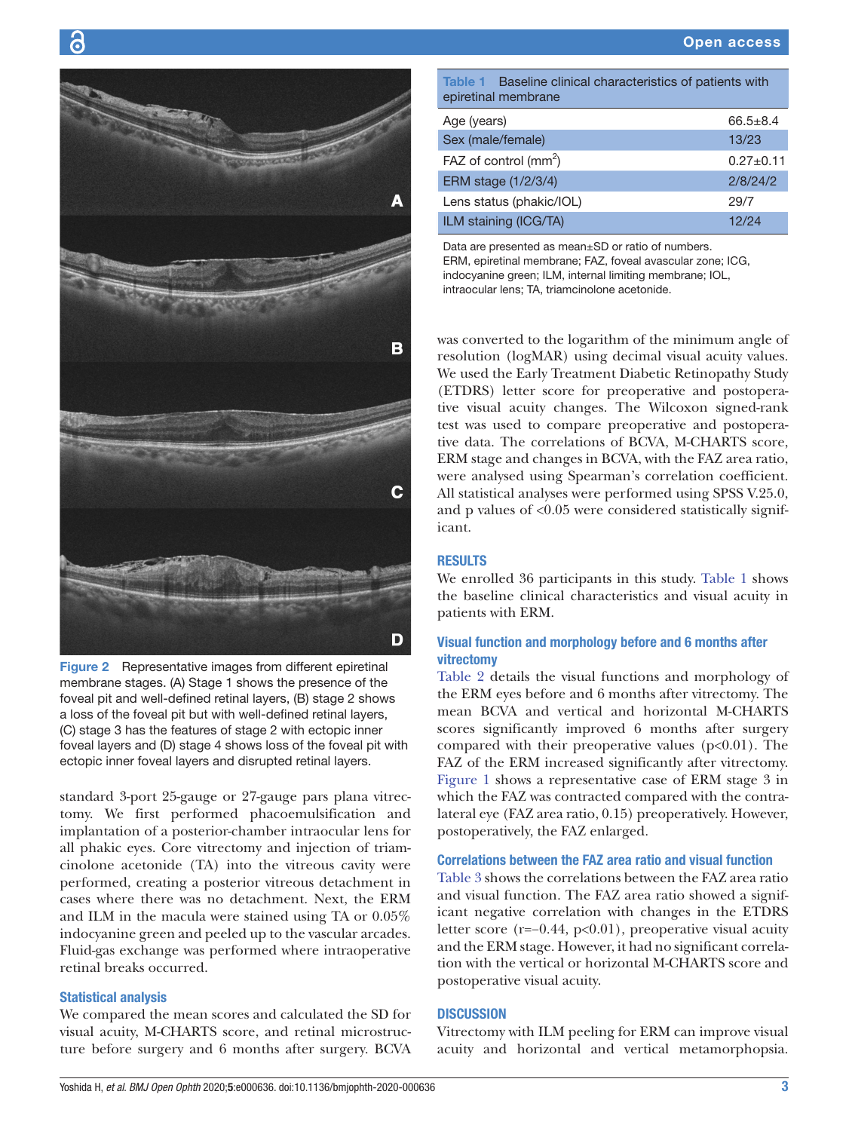

G

<span id="page-2-0"></span>Figure 2 Representative images from different epiretinal membrane stages. (A) Stage 1 shows the presence of the foveal pit and well-defined retinal layers, (B) stage 2 shows a loss of the foveal pit but with well-defined retinal layers, (C) stage 3 has the features of stage 2 with ectopic inner foveal layers and (D) stage 4 shows loss of the foveal pit with ectopic inner foveal layers and disrupted retinal layers.

standard 3-port 25-gauge or 27-gauge pars plana vitrectomy. We first performed phacoemulsification and implantation of a posterior-chamber intraocular lens for all phakic eyes. Core vitrectomy and injection of triamcinolone acetonide (TA) into the vitreous cavity were performed, creating a posterior vitreous detachment in cases where there was no detachment. Next, the ERM and ILM in the macula were stained using TA or 0.05% indocyanine green and peeled up to the vascular arcades. Fluid-gas exchange was performed where intraoperative retinal breaks occurred.

## Statistical analysis

We compared the mean scores and calculated the SD for visual acuity, M-CHARTS score, and retinal microstructure before surgery and 6 months after surgery. BCVA

<span id="page-2-1"></span>Table 1 Baseline clinical characteristics of patients with epiretinal membrane

| Age (years)              | $66.5 + 8.4$  |
|--------------------------|---------------|
| Sex (male/female)        | 13/23         |
| FAZ of control $(mm^2)$  | $0.27 + 0.11$ |
| ERM stage (1/2/3/4)      | 2/8/24/2      |
| Lens status (phakic/IOL) | 29/7          |
| ILM staining (ICG/TA)    | 12/24         |

Data are presented as mean±SD or ratio of numbers. ERM, epiretinal membrane; FAZ, foveal avascular zone; ICG, indocyanine green; ILM, internal limiting membrane; IOL, intraocular lens; TA, triamcinolone acetonide.

was converted to the logarithm of the minimum angle of resolution (logMAR) using decimal visual acuity values. We used the Early Treatment Diabetic Retinopathy Study (ETDRS) letter score for preoperative and postoperative visual acuity changes. The Wilcoxon signed-rank test was used to compare preoperative and postoperative data. The correlations of BCVA, M-CHARTS score, ERM stage and changes in BCVA, with the FAZ area ratio, were analysed using Spearman's correlation coefficient. All statistical analyses were performed using SPSS V.25.0, and p values of <0.05 were considered statistically significant.

#### RESULTS

We enrolled 36 participants in this study. [Table](#page-2-1) 1 shows the baseline clinical characteristics and visual acuity in patients with ERM.

## Visual function and morphology before and 6 months after vitrectomy

[Table](#page-3-0) 2 details the visual functions and morphology of the ERM eyes before and 6 months after vitrectomy. The mean BCVA and vertical and horizontal M-CHARTS scores significantly improved 6 months after surgery compared with their preoperative values  $(p<0.01)$ . The FAZ of the ERM increased significantly after vitrectomy. [Figure](#page-1-0) 1 shows a representative case of ERM stage 3 in which the FAZ was contracted compared with the contralateral eye (FAZ area ratio, 0.15) preoperatively. However, postoperatively, the FAZ enlarged.

## Correlations between the FAZ area ratio and visual function

[Table](#page-3-1) 3 shows the correlations between the FAZ area ratio and visual function. The FAZ area ratio showed a significant negative correlation with changes in the ETDRS letter score (r=−0.44, p<0.01), preoperative visual acuity and the ERM stage. However, it had no significant correlation with the vertical or horizontal M-CHARTS score and postoperative visual acuity.

## **DISCUSSION**

Vitrectomy with ILM peeling for ERM can improve visual acuity and horizontal and vertical metamorphopsia.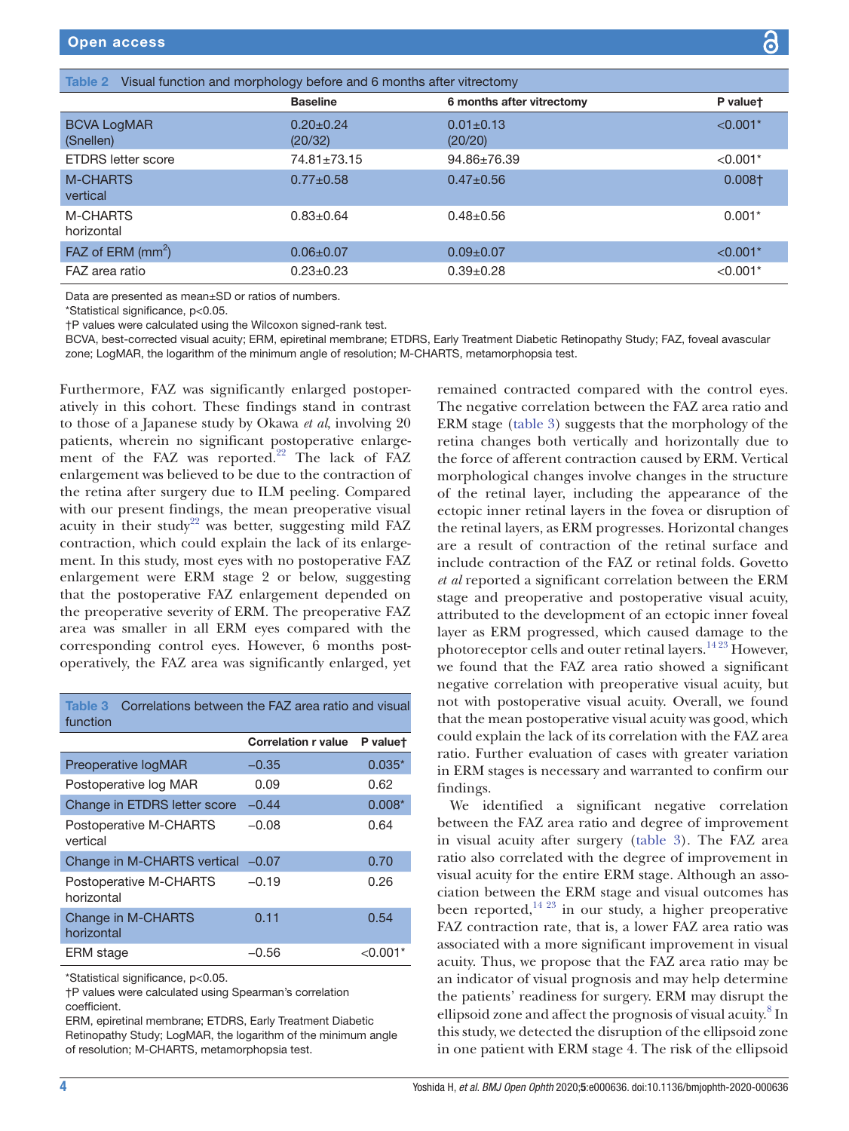<span id="page-3-0"></span>

| Table 2 Visual function and morphology before and 6 months after vitrectomy |                            |                            |            |  |  |
|-----------------------------------------------------------------------------|----------------------------|----------------------------|------------|--|--|
|                                                                             | <b>Baseline</b>            | 6 months after vitrectomy  | P valuet   |  |  |
| <b>BCVA LogMAR</b><br>(Snellen)                                             | $0.20 \pm 0.24$<br>(20/32) | $0.01 \pm 0.13$<br>(20/20) | $< 0.001*$ |  |  |
| <b>ETDRS</b> letter score                                                   | $74.81 \pm 73.15$          | $94.86 \pm 76.39$          | $< 0.001*$ |  |  |
| <b>M-CHARTS</b><br>vertical                                                 | $0.77 + 0.58$              | $0.47 \pm 0.56$            | $0.008+$   |  |  |
| <b>M-CHARTS</b><br>horizontal                                               | $0.83 \pm 0.64$            | $0.48 \pm 0.56$            | $0.001*$   |  |  |
| FAZ of ERM $(mm^2)$                                                         | $0.06 \pm 0.07$            | $0.09 + 0.07$              | $< 0.001*$ |  |  |
| FAZ area ratio                                                              | $0.23 \pm 0.23$            | $0.39 \pm 0.28$            | $< 0.001*$ |  |  |

Data are presented as mean±SD or ratios of numbers.

\*Statistical significance, p<0.05.

†P values were calculated using the Wilcoxon signed-rank test.

BCVA, best-corrected visual acuity; ERM, epiretinal membrane; ETDRS, Early Treatment Diabetic Retinopathy Study; FAZ, foveal avascular zone; LogMAR, the logarithm of the minimum angle of resolution; M-CHARTS, metamorphopsia test.

Furthermore, FAZ was significantly enlarged postoperatively in this cohort. These findings stand in contrast to those of a Japanese study by Okawa *et al*, involving 20 patients, wherein no significant postoperative enlargement of the FAZ was reported.<sup>22</sup> The lack of FAZ enlargement was believed to be due to the contraction of the retina after surgery due to ILM peeling. Compared with our present findings, the mean preoperative visual acuity in their study<sup>22</sup> was better, suggesting mild FAZ contraction, which could explain the lack of its enlargement. In this study, most eyes with no postoperative FAZ enlargement were ERM stage 2 or below, suggesting that the postoperative FAZ enlargement depended on the preoperative severity of ERM. The preoperative FAZ area was smaller in all ERM eyes compared with the corresponding control eyes. However, 6 months postoperatively, the FAZ area was significantly enlarged, yet

<span id="page-3-1"></span>Table 3 Correlations between the FAZ area ratio and visual function

|                                      | <b>Correlation r value</b> | P valuet |
|--------------------------------------|----------------------------|----------|
| Preoperative logMAR                  | $-0.35$                    | $0.035*$ |
| Postoperative log MAR                | 0.09                       | 0.62     |
| Change in ETDRS letter score         | $-0.44$                    | $0.008*$ |
| Postoperative M-CHARTS<br>vertical   | $-0.08$                    | 0.64     |
| Change in M-CHARTS vertical -0.07    |                            | 0.70     |
| Postoperative M-CHARTS<br>horizontal | $-0.19$                    | 0.26     |
| Change in M-CHARTS<br>horizontal     | 0.11                       | 0.54     |
| ERM stage                            | -0.56                      | <0.00    |

\*Statistical significance, p<0.05.

†P values were calculated using Spearman's correlation coefficient.

ERM, epiretinal membrane; ETDRS, Early Treatment Diabetic Retinopathy Study; LogMAR, the logarithm of the minimum angle of resolution; M-CHARTS, metamorphopsia test.

remained contracted compared with the control eyes. The negative correlation between the FAZ area ratio and ERM stage [\(table](#page-3-1) 3) suggests that the morphology of the retina changes both vertically and horizontally due to the force of afferent contraction caused by ERM. Vertical morphological changes involve changes in the structure of the retinal layer, including the appearance of the ectopic inner retinal layers in the fovea or disruption of the retinal layers, as ERM progresses. Horizontal changes are a result of contraction of the retinal surface and include contraction of the FAZ or retinal folds. Govetto *et al* reported a significant correlation between the ERM stage and preoperative and postoperative visual acuity, attributed to the development of an ectopic inner foveal layer as ERM progressed, which caused damage to the photoreceptor cells and outer retinal layers.<sup>1423</sup> However, we found that the FAZ area ratio showed a significant negative correlation with preoperative visual acuity, but not with postoperative visual acuity. Overall, we found that the mean postoperative visual acuity was good, which could explain the lack of its correlation with the FAZ area ratio. Further evaluation of cases with greater variation in ERM stages is necessary and warranted to confirm our findings.

We identified a significant negative correlation between the FAZ area ratio and degree of improvement in visual acuity after surgery [\(table](#page-3-1) 3). The FAZ area ratio also correlated with the degree of improvement in visual acuity for the entire ERM stage. Although an association between the ERM stage and visual outcomes has been reported, $^{14}$   $^{23}$  in our study, a higher preoperative FAZ contraction rate, that is, a lower FAZ area ratio was associated with a more significant improvement in visual acuity. Thus, we propose that the FAZ area ratio may be an indicator of visual prognosis and may help determine the patients' readiness for surgery. ERM may disrupt the ellipsoid zone and affect the prognosis of visual acuity.<sup>8</sup> In this study, we detected the disruption of the ellipsoid zone in one patient with ERM stage 4. The risk of the ellipsoid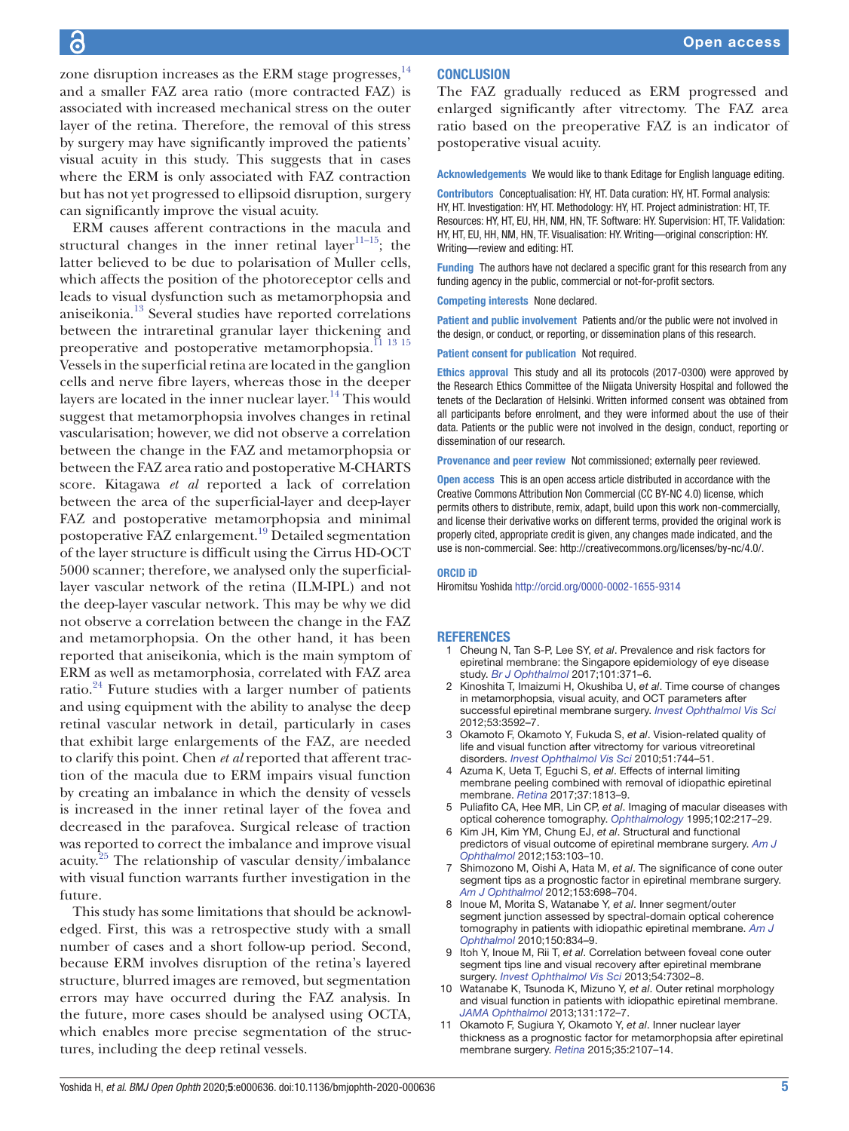zone disruption increases as the ERM stage progresses, $14$ and a smaller FAZ area ratio (more contracted FAZ) is associated with increased mechanical stress on the outer layer of the retina. Therefore, the removal of this stress by surgery may have significantly improved the patients' visual acuity in this study. This suggests that in cases where the ERM is only associated with FAZ contraction but has not yet progressed to ellipsoid disruption, surgery can significantly improve the visual acuity.

ERM causes afferent contractions in the macula and structural changes in the inner retinal layer<sup>11–15</sup>; the latter believed to be due to polarisation of Muller cells, which affects the position of the photoreceptor cells and leads to visual dysfunction such as metamorphopsia and aniseikonia.[13](#page-5-7) Several studies have reported correlations between the intraretinal granular layer thickening and preoperative and postoperative metamorphopsia.<sup>11</sup><sup>13</sup><sup>15</sup> Vessels in the superficial retina are located in the ganglion cells and nerve fibre layers, whereas those in the deeper layers are located in the inner nuclear layer.<sup>[14](#page-5-1)</sup> This would suggest that metamorphopsia involves changes in retinal vascularisation; however, we did not observe a correlation between the change in the FAZ and metamorphopsia or between the FAZ area ratio and postoperative M-CHARTS score. Kitagawa *et al* reported a lack of correlation between the area of the superficial-layer and deep-layer FAZ and postoperative metamorphopsia and minimal postoperative FAZ enlargement.[19](#page-5-3) Detailed segmentation of the layer structure is difficult using the Cirrus HD-OCT 5000 scanner; therefore, we analysed only the superficiallayer vascular network of the retina (ILM-IPL) and not the deep-layer vascular network. This may be why we did not observe a correlation between the change in the FAZ and metamorphopsia. On the other hand, it has been reported that aniseikonia, which is the main symptom of ERM as well as metamorphosia, correlated with FAZ area ratio.[24](#page-5-8) Future studies with a larger number of patients and using equipment with the ability to analyse the deep retinal vascular network in detail, particularly in cases that exhibit large enlargements of the FAZ, are needed to clarify this point. Chen *et al* reported that afferent traction of the macula due to ERM impairs visual function by creating an imbalance in which the density of vessels is increased in the inner retinal layer of the fovea and decreased in the parafovea. Surgical release of traction was reported to correct the imbalance and improve visual acuity.<sup>25</sup> The relationship of vascular density/imbalance with visual function warrants further investigation in the future.

This study has some limitations that should be acknowledged. First, this was a retrospective study with a small number of cases and a short follow-up period. Second, because ERM involves disruption of the retina's layered structure, blurred images are removed, but segmentation errors may have occurred during the FAZ analysis. In the future, more cases should be analysed using OCTA, which enables more precise segmentation of the structures, including the deep retinal vessels.

## **CONCLUSION**

The FAZ gradually reduced as ERM progressed and enlarged significantly after vitrectomy. The FAZ area ratio based on the preoperative FAZ is an indicator of postoperative visual acuity.

Acknowledgements We would like to thank Editage for English language editing.

Contributors Conceptualisation: HY, HT. Data curation: HY, HT. Formal analysis: HY, HT. Investigation: HY, HT. Methodology: HY, HT. Project administration: HT, TF. Resources: HY, HT, EU, HH, NM, HN, TF. Software: HY. Supervision: HT, TF. Validation: HY, HT, EU, HH, NM, HN, TF. Visualisation: HY. Writing—original conscription: HY. Writing—review and editing: HT.

Funding The authors have not declared a specific grant for this research from any funding agency in the public, commercial or not-for-profit sectors.

Competing interests None declared.

Patient and public involvement Patients and/or the public were not involved in the design, or conduct, or reporting, or dissemination plans of this research.

Patient consent for publication Not required.

Ethics approval This study and all its protocols (2017-0300) were approved by the Research Ethics Committee of the Niigata University Hospital and followed the tenets of the Declaration of Helsinki. Written informed consent was obtained from all participants before enrolment, and they were informed about the use of their data. Patients or the public were not involved in the design, conduct, reporting or dissemination of our research.

Provenance and peer review Not commissioned; externally peer reviewed.

Open access This is an open access article distributed in accordance with the Creative Commons Attribution Non Commercial (CC BY-NC 4.0) license, which permits others to distribute, remix, adapt, build upon this work non-commercially, and license their derivative works on different terms, provided the original work is properly cited, appropriate credit is given, any changes made indicated, and the use is non-commercial. See:<http://creativecommons.org/licenses/by-nc/4.0/>.

#### ORCID iD

Hiromitsu Yoshida <http://orcid.org/0000-0002-1655-9314>

#### **REFERENCES**

- 1 Cheung N, Tan S-P, Lee SY, *et al*. Prevalence and risk factors for epiretinal membrane: the Singapore epidemiology of eye disease study. *[Br J Ophthalmol](http://dx.doi.org/10.1136/bjophthalmol-2016-308563)* 2017;101:371–6.
- <span id="page-4-0"></span>2 Kinoshita T, Imaizumi H, Okushiba U, *et al*. Time course of changes in metamorphopsia, visual acuity, and OCT parameters after successful epiretinal membrane surgery. *[Invest Ophthalmol Vis Sci](http://dx.doi.org/10.1167/iovs.12-9493)* 2012;53:3592–7.
- 3 Okamoto F, Okamoto Y, Fukuda S, *et al*. Vision-related quality of life and visual function after vitrectomy for various vitreoretinal disorders. *[Invest Ophthalmol Vis Sci](http://dx.doi.org/10.1167/iovs.09-3992)* 2010;51:744–51.
- <span id="page-4-1"></span>4 Azuma K, Ueta T, Eguchi S, *et al*. Effects of internal limiting membrane peeling combined with removal of idiopathic epiretinal membrane. *[Retina](http://dx.doi.org/10.1097/IAE.0000000000001537)* 2017;37:1813–9.
- <span id="page-4-2"></span>5 Puliafito CA, Hee MR, Lin CP, *et al*. Imaging of macular diseases with optical coherence tomography. *[Ophthalmology](http://dx.doi.org/10.1016/S0161-6420(95)31032-9)* 1995;102:217–29.
- <span id="page-4-3"></span>6 Kim JH, Kim YM, Chung EJ, *et al*. Structural and functional predictors of visual outcome of epiretinal membrane surgery. *[Am J](http://dx.doi.org/10.1016/j.ajo.2011.06.021)  [Ophthalmol](http://dx.doi.org/10.1016/j.ajo.2011.06.021)* 2012;153:103–10.
- 7 Shimozono M, Oishi A, Hata M, *et al*. The significance of cone outer segment tips as a prognostic factor in epiretinal membrane surgery. *[Am J Ophthalmol](http://dx.doi.org/10.1016/j.ajo.2011.09.011)* 2012;153:698–704.
- <span id="page-4-5"></span>8 Inoue M, Morita S, Watanabe Y, *et al*. Inner segment/outer segment junction assessed by spectral-domain optical coherence tomography in patients with idiopathic epiretinal membrane. *[Am J](http://dx.doi.org/10.1016/j.ajo.2010.06.006)  [Ophthalmol](http://dx.doi.org/10.1016/j.ajo.2010.06.006)* 2010;150:834–9.
- 9 Itoh Y, Inoue M, Rii T, *et al*. Correlation between foveal cone outer segment tips line and visual recovery after epiretinal membrane surgery. *[Invest Ophthalmol Vis Sci](http://dx.doi.org/10.1167/iovs.13-12702)* 2013;54:7302–8.
- 10 Watanabe K, Tsunoda K, Mizuno Y, *et al*. Outer retinal morphology and visual function in patients with idiopathic epiretinal membrane. *[JAMA Ophthalmol](http://dx.doi.org/10.1001/jamaophthalmol.2013.686)* 2013;131:172–7.
- <span id="page-4-4"></span>11 Okamoto F, Sugiura Y, Okamoto Y, *et al*. Inner nuclear layer thickness as a prognostic factor for metamorphopsia after epiretinal membrane surgery. *[Retina](http://dx.doi.org/10.1097/IAE.0000000000000602)* 2015;35:2107–14.